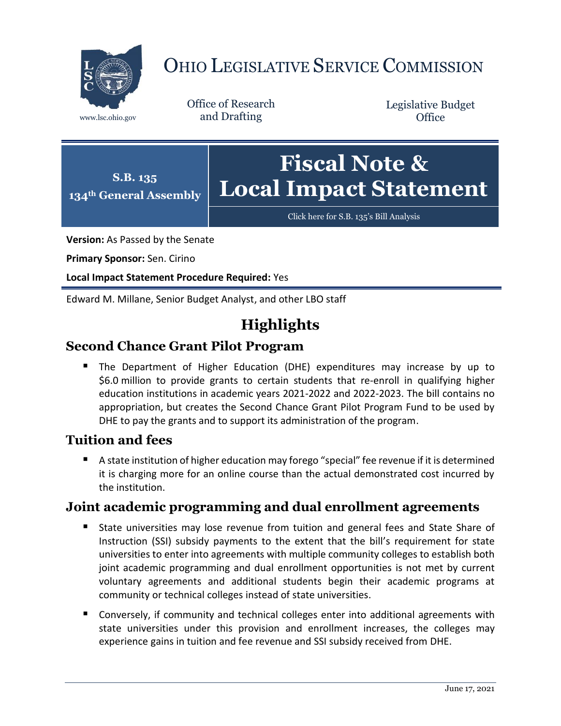

# OHIO LEGISLATIVE SERVICE COMMISSION

Office of Research www.lsc.ohio.gov and Drafting

Legislative Budget **Office** 



Click here for S.B. 135'[s Bill Analysis](https://www.legislature.ohio.gov/legislation/legislation-documents?id=GA134-SB-135)

**Version:** As Passed by the Senate

**Primary Sponsor:** Sen. Cirino

**Local Impact Statement Procedure Required:** Yes

Edward M. Millane, Senior Budget Analyst, and other LBO staff

# **Highlights**

### **Second Chance Grant Pilot Program**

 The Department of Higher Education (DHE) expenditures may increase by up to \$6.0 million to provide grants to certain students that re-enroll in qualifying higher education institutions in academic years 2021-2022 and 2022-2023. The bill contains no appropriation, but creates the Second Chance Grant Pilot Program Fund to be used by DHE to pay the grants and to support its administration of the program.

### **Tuition and fees**

 A state institution of higher education may forego "special" fee revenue if it is determined it is charging more for an online course than the actual demonstrated cost incurred by the institution.

#### **Joint academic programming and dual enrollment agreements**

- State universities may lose revenue from tuition and general fees and State Share of Instruction (SSI) subsidy payments to the extent that the bill's requirement for state universities to enter into agreements with multiple community colleges to establish both joint academic programming and dual enrollment opportunities is not met by current voluntary agreements and additional students begin their academic programs at community or technical colleges instead of state universities.
- Conversely, if community and technical colleges enter into additional agreements with state universities under this provision and enrollment increases, the colleges may experience gains in tuition and fee revenue and SSI subsidy received from DHE.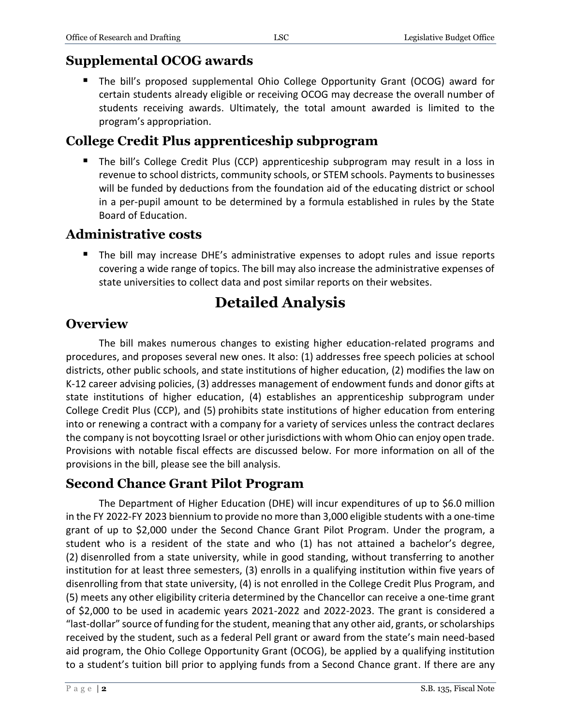# **Supplemental OCOG awards**

 The bill's proposed supplemental Ohio College Opportunity Grant (OCOG) award for certain students already eligible or receiving OCOG may decrease the overall number of students receiving awards. Ultimately, the total amount awarded is limited to the program's appropriation.

# **College Credit Plus apprenticeship subprogram**

**The bill's College Credit Plus (CCP) apprenticeship subprogram may result in a loss in** revenue to school districts, community schools, or STEM schools. Payments to businesses will be funded by deductions from the foundation aid of the educating district or school in a per-pupil amount to be determined by a formula established in rules by the State Board of Education.

# **Administrative costs**

 The bill may increase DHE's administrative expenses to adopt rules and issue reports covering a wide range of topics. The bill may also increase the administrative expenses of state universities to collect data and post similar reports on their websites.

# **Detailed Analysis**

# **Overview**

The bill makes numerous changes to existing higher education-related programs and procedures, and proposes several new ones. It also: (1) addresses free speech policies at school districts, other public schools, and state institutions of higher education, (2) modifies the law on K-12 career advising policies, (3) addresses management of endowment funds and donor gifts at state institutions of higher education, (4) establishes an apprenticeship subprogram under College Credit Plus (CCP), and (5) prohibits state institutions of higher education from entering into or renewing a contract with a company for a variety of services unless the contract declares the company is not boycotting Israel or other jurisdictions with whom Ohio can enjoy open trade. Provisions with notable fiscal effects are discussed below. For more information on all of the provisions in the bill, please see the bill analysis.

# **Second Chance Grant Pilot Program**

The Department of Higher Education (DHE) will incur expenditures of up to \$6.0 million in the FY 2022-FY 2023 biennium to provide no more than 3,000 eligible students with a one-time grant of up to \$2,000 under the Second Chance Grant Pilot Program. Under the program, a student who is a resident of the state and who (1) has not attained a bachelor's degree, (2) disenrolled from a state university, while in good standing, without transferring to another institution for at least three semesters, (3) enrolls in a qualifying institution within five years of disenrolling from that state university, (4) is not enrolled in the College Credit Plus Program, and (5) meets any other eligibility criteria determined by the Chancellor can receive a one-time grant of \$2,000 to be used in academic years 2021-2022 and 2022-2023. The grant is considered a "last-dollar" source of funding for the student, meaning that any other aid, grants, or scholarships received by the student, such as a federal Pell grant or award from the state's main need-based aid program, the Ohio College Opportunity Grant (OCOG), be applied by a qualifying institution to a student's tuition bill prior to applying funds from a Second Chance grant. If there are any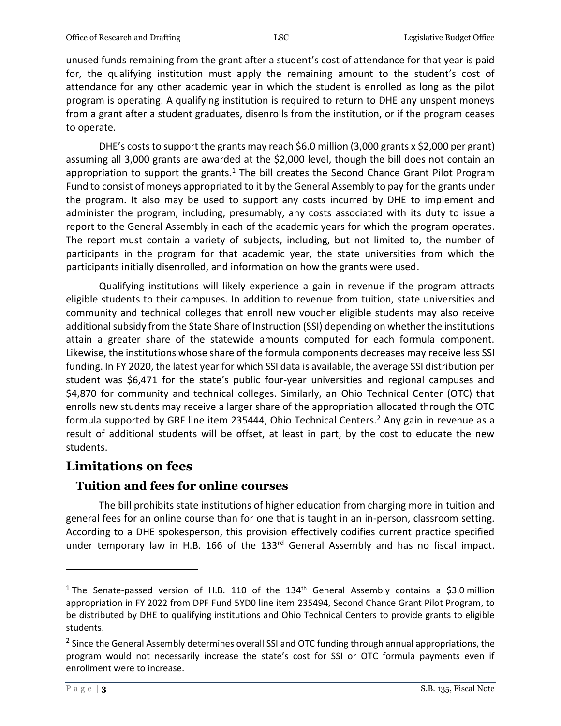unused funds remaining from the grant after a student's cost of attendance for that year is paid for, the qualifying institution must apply the remaining amount to the student's cost of attendance for any other academic year in which the student is enrolled as long as the pilot program is operating. A qualifying institution is required to return to DHE any unspent moneys from a grant after a student graduates, disenrolls from the institution, or if the program ceases to operate.

DHE's costs to support the grants may reach \$6.0 million (3,000 grants x \$2,000 per grant) assuming all 3,000 grants are awarded at the \$2,000 level, though the bill does not contain an appropriation to support the grants.<sup>1</sup> The bill creates the Second Chance Grant Pilot Program Fund to consist of moneys appropriated to it by the General Assembly to pay for the grants under the program. It also may be used to support any costs incurred by DHE to implement and administer the program, including, presumably, any costs associated with its duty to issue a report to the General Assembly in each of the academic years for which the program operates. The report must contain a variety of subjects, including, but not limited to, the number of participants in the program for that academic year, the state universities from which the participants initially disenrolled, and information on how the grants were used.

Qualifying institutions will likely experience a gain in revenue if the program attracts eligible students to their campuses. In addition to revenue from tuition, state universities and community and technical colleges that enroll new voucher eligible students may also receive additional subsidy from the State Share of Instruction (SSI) depending on whether the institutions attain a greater share of the statewide amounts computed for each formula component. Likewise, the institutions whose share of the formula components decreases may receive less SSI funding. In FY 2020, the latest year for which SSI data is available, the average SSI distribution per student was \$6,471 for the state's public four-year universities and regional campuses and \$4,870 for community and technical colleges. Similarly, an Ohio Technical Center (OTC) that enrolls new students may receive a larger share of the appropriation allocated through the OTC formula supported by GRF line item 235444, Ohio Technical Centers.<sup>2</sup> Any gain in revenue as a result of additional students will be offset, at least in part, by the cost to educate the new students.

### **Limitations on fees**

#### **Tuition and fees for online courses**

The bill prohibits state institutions of higher education from charging more in tuition and general fees for an online course than for one that is taught in an in-person, classroom setting. According to a DHE spokesperson, this provision effectively codifies current practice specified under temporary law in H.B. 166 of the 133<sup>rd</sup> General Assembly and has no fiscal impact.

 $\overline{a}$ 

<sup>&</sup>lt;sup>1</sup> The Senate-passed version of H.B. 110 of the 134<sup>th</sup> General Assembly contains a \$3.0 million appropriation in FY 2022 from DPF Fund 5YD0 line item 235494, Second Chance Grant Pilot Program, to be distributed by DHE to qualifying institutions and Ohio Technical Centers to provide grants to eligible students.

<sup>&</sup>lt;sup>2</sup> Since the General Assembly determines overall SSI and OTC funding through annual appropriations, the program would not necessarily increase the state's cost for SSI or OTC formula payments even if enrollment were to increase.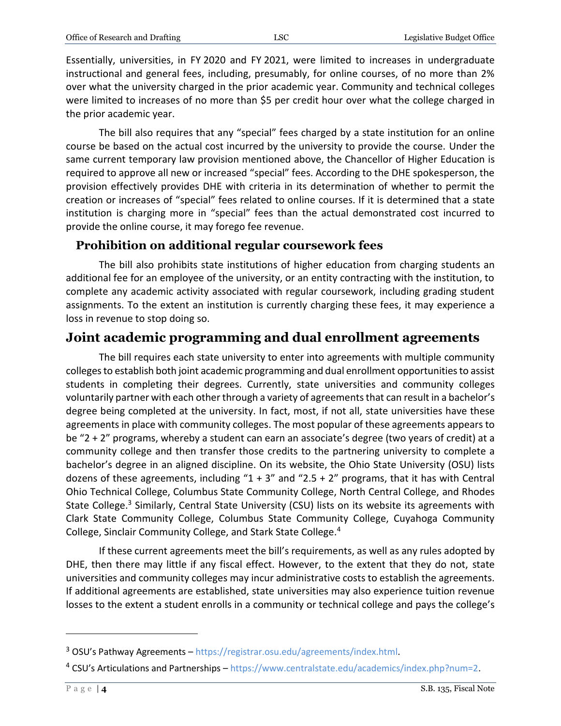Essentially, universities, in FY 2020 and FY 2021, were limited to increases in undergraduate instructional and general fees, including, presumably, for online courses, of no more than 2% over what the university charged in the prior academic year. Community and technical colleges were limited to increases of no more than \$5 per credit hour over what the college charged in the prior academic year.

The bill also requires that any "special" fees charged by a state institution for an online course be based on the actual cost incurred by the university to provide the course. Under the same current temporary law provision mentioned above, the Chancellor of Higher Education is required to approve all new or increased "special" fees. According to the DHE spokesperson, the provision effectively provides DHE with criteria in its determination of whether to permit the creation or increases of "special" fees related to online courses. If it is determined that a state institution is charging more in "special" fees than the actual demonstrated cost incurred to provide the online course, it may forego fee revenue.

#### **Prohibition on additional regular coursework fees**

The bill also prohibits state institutions of higher education from charging students an additional fee for an employee of the university, or an entity contracting with the institution, to complete any academic activity associated with regular coursework, including grading student assignments. To the extent an institution is currently charging these fees, it may experience a loss in revenue to stop doing so.

### **Joint academic programming and dual enrollment agreements**

The bill requires each state university to enter into agreements with multiple community colleges to establish both joint academic programming and dual enrollment opportunities to assist students in completing their degrees. Currently, state universities and community colleges voluntarily partner with each other through a variety of agreements that can result in a bachelor's degree being completed at the university. In fact, most, if not all, state universities have these agreements in place with community colleges. The most popular of these agreements appears to be "2 + 2" programs, whereby a student can earn an associate's degree (two years of credit) at a community college and then transfer those credits to the partnering university to complete a bachelor's degree in an aligned discipline. On its website, the Ohio State University (OSU) lists dozens of these agreements, including "1 + 3" and "2.5 + 2" programs, that it has with Central Ohio Technical College, Columbus State Community College, North Central College, and Rhodes State College.<sup>3</sup> Similarly, Central State University (CSU) lists on its website its agreements with Clark State Community College, Columbus State Community College, Cuyahoga Community College, Sinclair Community College, and Stark State College.<sup>4</sup>

If these current agreements meet the bill's requirements, as well as any rules adopted by DHE, then there may little if any fiscal effect. However, to the extent that they do not, state universities and community colleges may incur administrative costs to establish the agreements. If additional agreements are established, state universities may also experience tuition revenue losses to the extent a student enrolls in a community or technical college and pays the college's

 $\overline{a}$ 

<sup>3</sup> OSU's Pathway Agreements – [https://registrar.osu.edu/agreements/index.html.](https://registrar.osu.edu/agreements/index.html)

<sup>4</sup> CSU's Articulations and Partnerships – [https://www.centralstate.edu/academics/index.php?num=2.](https://www.centralstate.edu/academics/index.php?num=2)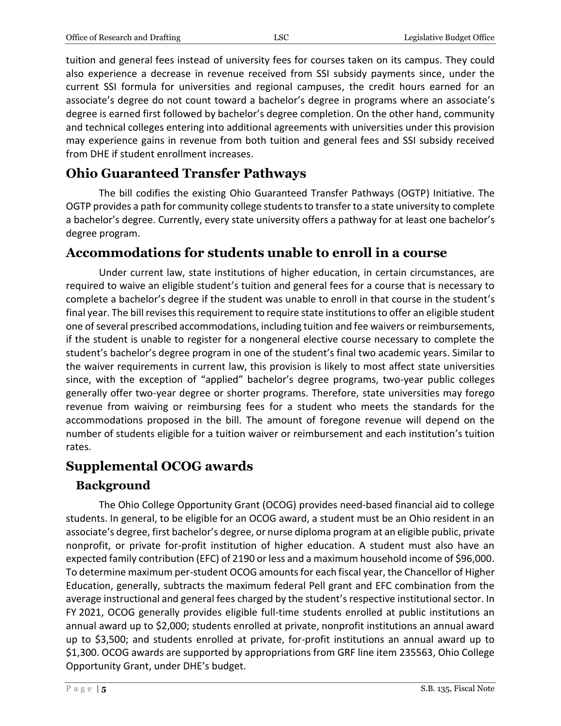tuition and general fees instead of university fees for courses taken on its campus. They could also experience a decrease in revenue received from SSI subsidy payments since, under the current SSI formula for universities and regional campuses, the credit hours earned for an associate's degree do not count toward a bachelor's degree in programs where an associate's degree is earned first followed by bachelor's degree completion. On the other hand, community and technical colleges entering into additional agreements with universities under this provision may experience gains in revenue from both tuition and general fees and SSI subsidy received from DHE if student enrollment increases.

# **Ohio Guaranteed Transfer Pathways**

The bill codifies the existing Ohio Guaranteed Transfer Pathways (OGTP) Initiative. The OGTP provides a path for community college students to transfer to a state university to complete a bachelor's degree. Currently, every state university offers a pathway for at least one bachelor's degree program.

# **Accommodations for students unable to enroll in a course**

Under current law, state institutions of higher education, in certain circumstances, are required to waive an eligible student's tuition and general fees for a course that is necessary to complete a bachelor's degree if the student was unable to enroll in that course in the student's final year. The bill revises this requirement to require state institutions to offer an eligible student one of several prescribed accommodations, including tuition and fee waivers or reimbursements, if the student is unable to register for a nongeneral elective course necessary to complete the student's bachelor's degree program in one of the student's final two academic years. Similar to the waiver requirements in current law, this provision is likely to most affect state universities since, with the exception of "applied" bachelor's degree programs, two-year public colleges generally offer two-year degree or shorter programs. Therefore, state universities may forego revenue from waiving or reimbursing fees for a student who meets the standards for the accommodations proposed in the bill. The amount of foregone revenue will depend on the number of students eligible for a tuition waiver or reimbursement and each institution's tuition rates.

# **Supplemental OCOG awards**

### **Background**

The Ohio College Opportunity Grant (OCOG) provides need-based financial aid to college students. In general, to be eligible for an OCOG award, a student must be an Ohio resident in an associate's degree, first bachelor's degree, or nurse diploma program at an eligible public, private nonprofit, or private for-profit institution of higher education. A student must also have an expected family contribution (EFC) of 2190 or less and a maximum household income of \$96,000. To determine maximum per-student OCOG amounts for each fiscal year, the Chancellor of Higher Education, generally, subtracts the maximum federal Pell grant and EFC combination from the average instructional and general fees charged by the student's respective institutional sector. In FY 2021, OCOG generally provides eligible full-time students enrolled at public institutions an annual award up to \$2,000; students enrolled at private, nonprofit institutions an annual award up to \$3,500; and students enrolled at private, for-profit institutions an annual award up to \$1,300. OCOG awards are supported by appropriations from GRF line item 235563, Ohio College Opportunity Grant, under DHE's budget.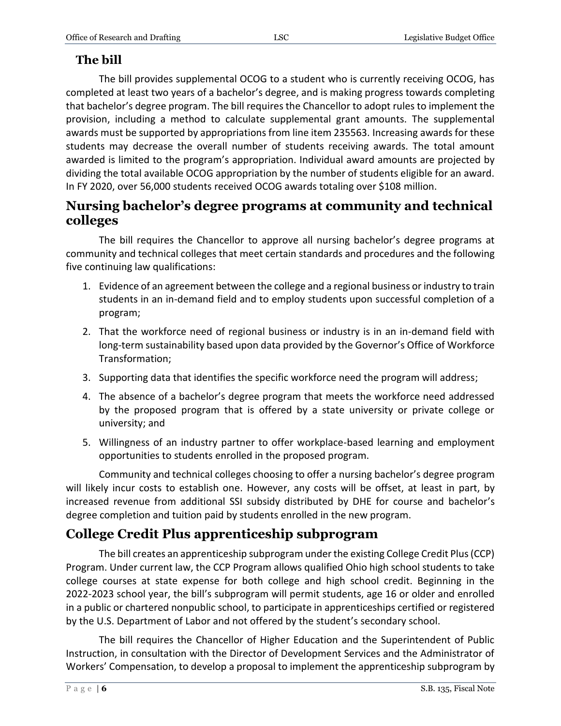### **The bill**

The bill provides supplemental OCOG to a student who is currently receiving OCOG, has completed at least two years of a bachelor's degree, and is making progress towards completing that bachelor's degree program. The bill requires the Chancellor to adopt rules to implement the provision, including a method to calculate supplemental grant amounts. The supplemental awards must be supported by appropriations from line item 235563. Increasing awards for these students may decrease the overall number of students receiving awards. The total amount awarded is limited to the program's appropriation. Individual award amounts are projected by dividing the total available OCOG appropriation by the number of students eligible for an award. In FY 2020, over 56,000 students received OCOG awards totaling over \$108 million.

### **Nursing bachelor's degree programs at community and technical colleges**

The bill requires the Chancellor to approve all nursing bachelor's degree programs at community and technical colleges that meet certain standards and procedures and the following five continuing law qualifications:

- 1. Evidence of an agreement between the college and a regional business or industry to train students in an in-demand field and to employ students upon successful completion of a program;
- 2. That the workforce need of regional business or industry is in an in-demand field with long-term sustainability based upon data provided by the Governor's Office of Workforce Transformation;
- 3. Supporting data that identifies the specific workforce need the program will address;
- 4. The absence of a bachelor's degree program that meets the workforce need addressed by the proposed program that is offered by a state university or private college or university; and
- 5. Willingness of an industry partner to offer workplace-based learning and employment opportunities to students enrolled in the proposed program.

Community and technical colleges choosing to offer a nursing bachelor's degree program will likely incur costs to establish one. However, any costs will be offset, at least in part, by increased revenue from additional SSI subsidy distributed by DHE for course and bachelor's degree completion and tuition paid by students enrolled in the new program.

# **College Credit Plus apprenticeship subprogram**

The bill creates an apprenticeship subprogram under the existing College Credit Plus (CCP) Program. Under current law, the CCP Program allows qualified Ohio high school students to take college courses at state expense for both college and high school credit. Beginning in the 2022-2023 school year, the bill's subprogram will permit students, age 16 or older and enrolled in a public or chartered nonpublic school, to participate in apprenticeships certified or registered by the U.S. Department of Labor and not offered by the student's secondary school.

The bill requires the Chancellor of Higher Education and the Superintendent of Public Instruction, in consultation with the Director of Development Services and the Administrator of Workers' Compensation, to develop a proposal to implement the apprenticeship subprogram by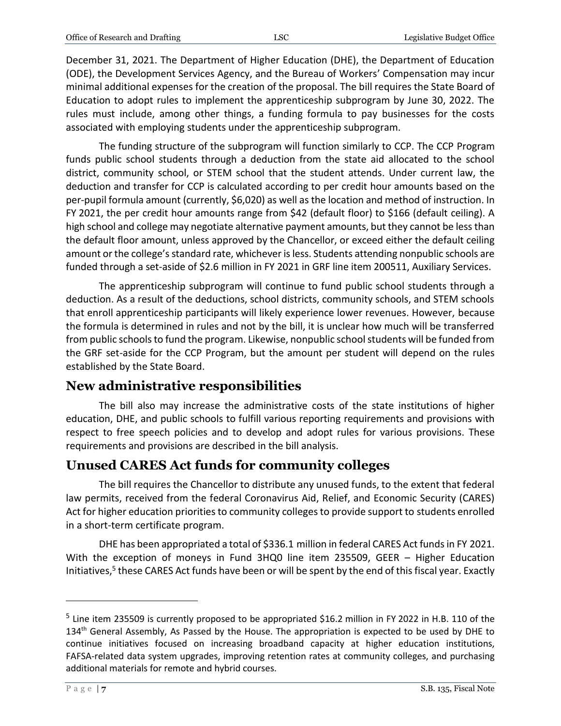December 31, 2021. The Department of Higher Education (DHE), the Department of Education (ODE), the Development Services Agency, and the Bureau of Workers' Compensation may incur minimal additional expenses for the creation of the proposal. The bill requires the State Board of Education to adopt rules to implement the apprenticeship subprogram by June 30, 2022. The rules must include, among other things, a funding formula to pay businesses for the costs associated with employing students under the apprenticeship subprogram.

The funding structure of the subprogram will function similarly to CCP. The CCP Program funds public school students through a deduction from the state aid allocated to the school district, community school, or STEM school that the student attends. Under current law, the deduction and transfer for CCP is calculated according to per credit hour amounts based on the per-pupil formula amount (currently, \$6,020) as well as the location and method of instruction. In FY 2021, the per credit hour amounts range from \$42 (default floor) to \$166 (default ceiling). A high school and college may negotiate alternative payment amounts, but they cannot be less than the default floor amount, unless approved by the Chancellor, or exceed either the default ceiling amount or the college's standard rate, whichever is less. Students attending nonpublic schools are funded through a set-aside of \$2.6 million in FY 2021 in GRF line item 200511, Auxiliary Services.

The apprenticeship subprogram will continue to fund public school students through a deduction. As a result of the deductions, school districts, community schools, and STEM schools that enroll apprenticeship participants will likely experience lower revenues. However, because the formula is determined in rules and not by the bill, it is unclear how much will be transferred from public schools to fund the program. Likewise, nonpublic school students will be funded from the GRF set-aside for the CCP Program, but the amount per student will depend on the rules established by the State Board.

# **New administrative responsibilities**

The bill also may increase the administrative costs of the state institutions of higher education, DHE, and public schools to fulfill various reporting requirements and provisions with respect to free speech policies and to develop and adopt rules for various provisions. These requirements and provisions are described in the bill analysis.

# **Unused CARES Act funds for community colleges**

The bill requires the Chancellor to distribute any unused funds, to the extent that federal law permits, received from the federal Coronavirus Aid, Relief, and Economic Security (CARES) Act for higher education priorities to community colleges to provide support to students enrolled in a short-term certificate program.

DHE has been appropriated a total of \$336.1 million in federal CARES Act funds in FY 2021. With the exception of moneys in Fund 3HQ0 line item 235509, GEER – Higher Education Initiatives,<sup>5</sup> these CARES Act funds have been or will be spent by the end of this fiscal year. Exactly

 $\overline{a}$ 

<sup>&</sup>lt;sup>5</sup> Line item 235509 is currently proposed to be appropriated \$16.2 million in FY 2022 in H.B. 110 of the 134th General Assembly, As Passed by the House. The appropriation is expected to be used by DHE to continue initiatives focused on increasing broadband capacity at higher education institutions, FAFSA-related data system upgrades, improving retention rates at community colleges, and purchasing additional materials for remote and hybrid courses.